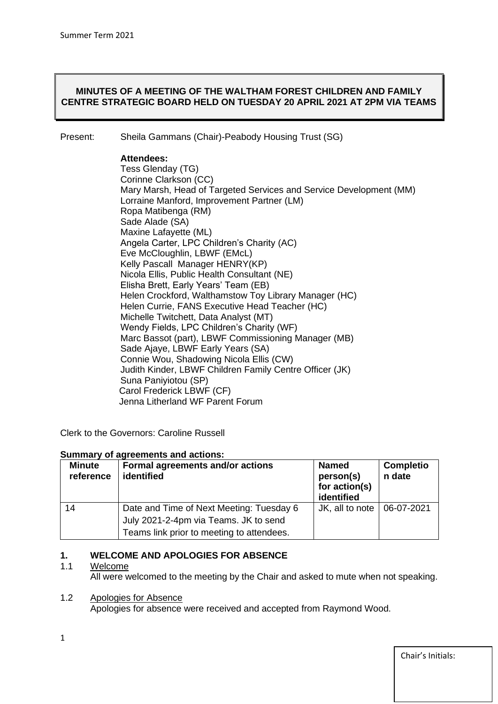## **MINUTES OF A MEETING OF THE WALTHAM FOREST CHILDREN AND FAMILY CENTRE STRATEGIC BOARD HELD ON TUESDAY 20 APRIL 2021 AT 2PM VIA TEAMS**

Present: Sheila Gammans (Chair)-Peabody Housing Trust (SG)

#### **Attendees:**

Tess Glenday (TG) Corinne Clarkson (CC) Mary Marsh, Head of Targeted Services and Service Development (MM) Lorraine Manford, Improvement Partner (LM) Ropa Matibenga (RM) Sade Alade (SA) Maxine Lafayette (ML) Angela Carter, LPC Children's Charity (AC) Eve McCloughlin, LBWF (EMcL) Kelly Pascall Manager HENRY(KP) Nicola Ellis, Public Health Consultant (NE) Elisha Brett, Early Years' Team (EB) Helen Crockford, Walthamstow Toy Library Manager (HC) Helen Currie, FANS Executive Head Teacher (HC) Michelle Twitchett, Data Analyst (MT) Wendy Fields, LPC Children's Charity (WF) Marc Bassot (part), LBWF Commissioning Manager (MB) Sade Ajaye, LBWF Early Years (SA) Connie Wou, Shadowing Nicola Ellis (CW) Judith Kinder, LBWF Children Family Centre Officer (JK) Suna Paniyiotou (SP) Carol Frederick LBWF (CF) Jenna Litherland WF Parent Forum

Clerk to the Governors: Caroline Russell

#### **Summary of agreements and actions:**

| <b>Minute</b><br>reference | Formal agreements and/or actions<br>identified                                                                                 | <b>Named</b><br>person(s)<br>for action(s)<br>identified | <b>Completio</b><br>n date |
|----------------------------|--------------------------------------------------------------------------------------------------------------------------------|----------------------------------------------------------|----------------------------|
| 14                         | Date and Time of Next Meeting: Tuesday 6<br>July 2021-2-4pm via Teams. JK to send<br>Teams link prior to meeting to attendees. | JK, all to note   06-07-2021                             |                            |

# **1. WELCOME AND APOLOGIES FOR ABSENCE**

#### 1.1 Welcome

All were welcomed to the meeting by the Chair and asked to mute when not speaking.

#### 1.2 Apologies for Absence

Apologies for absence were received and accepted from Raymond Wood.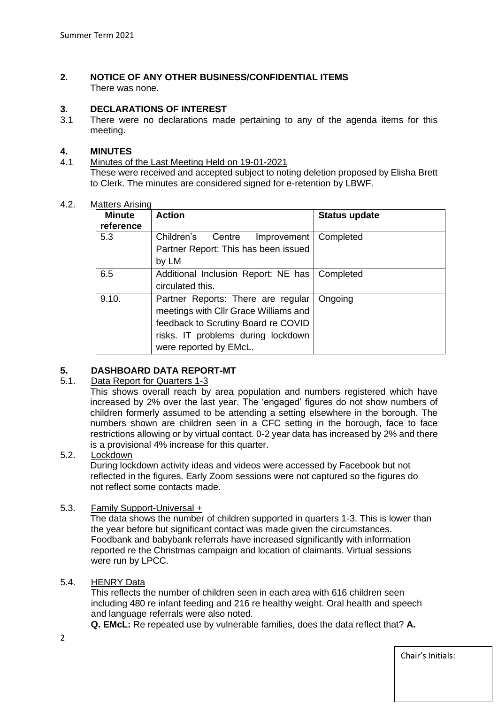#### **2. NOTICE OF ANY OTHER BUSINESS/CONFIDENTIAL ITEMS** There was none.

#### **3. DECLARATIONS OF INTEREST**

3.1 There were no declarations made pertaining to any of the agenda items for this meeting.

#### **4. MINUTES**

#### 4.1 Minutes of the Last Meeting Held on 19-01-2021 These were received and accepted subject to noting deletion proposed by Elisha Brett to Clerk. The minutes are considered signed for e-retention by LBWF.

#### 4.2. Matters Arising

| Minute<br>reference | <b>Action</b>                                                               | <b>Status update</b> |
|---------------------|-----------------------------------------------------------------------------|----------------------|
| 5.3                 | Children's<br>Centre<br>Improvement<br>Partner Report: This has been issued | Completed            |
|                     | by LM                                                                       |                      |
| 6.5                 | Additional Inclusion Report: NE has                                         | Completed            |
|                     | circulated this.                                                            |                      |
| 9.10.               | Partner Reports: There are regular                                          | Ongoing              |
|                     | meetings with CIIr Grace Williams and                                       |                      |
|                     | feedback to Scrutiny Board re COVID                                         |                      |
|                     | risks. IT problems during lockdown                                          |                      |
|                     | were reported by EMcL.                                                      |                      |

#### **5. DASHBOARD DATA REPORT-MT**

#### 5.1. Data Report for Quarters 1-3

This shows overall reach by area population and numbers registered which have increased by 2% over the last year. The 'engaged' figures do not show numbers of children formerly assumed to be attending a setting elsewhere in the borough. The numbers shown are children seen in a CFC setting in the borough, face to face restrictions allowing or by virtual contact. 0-2 year data has increased by 2% and there is a provisional 4% increase for this quarter.

#### 5.2. Lockdown

During lockdown activity ideas and videos were accessed by Facebook but not reflected in the figures. Early Zoom sessions were not captured so the figures do not reflect some contacts made.

#### 5.3. Family Support-Universal +

The data shows the number of children supported in quarters 1-3. This is lower than the year before but significant contact was made given the circumstances. Foodbank and babybank referrals have increased significantly with information reported re the Christmas campaign and location of claimants. Virtual sessions were run by LPCC.

#### 5.4. HENRY Data

 This reflects the number of children seen in each area with 616 children seen including 480 re infant feeding and 216 re healthy weight. Oral health and speech and language referrals were also noted.

**Q. EMcL:** Re repeated use by vulnerable families, does the data reflect that? **A.**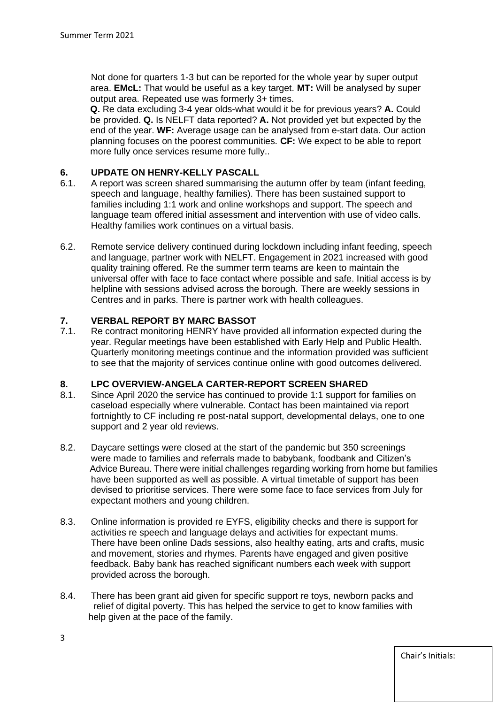Not done for quarters 1-3 but can be reported for the whole year by super output area. **EMcL:** That would be useful as a key target. **MT:** Will be analysed by super output area. Repeated use was formerly 3+ times.

**Q.** Re data excluding 3-4 year olds-what would it be for previous years? **A.** Could be provided. **Q.** Is NELFT data reported? **A.** Not provided yet but expected by the end of the year. **WF:** Average usage can be analysed from e-start data. Our action planning focuses on the poorest communities. **CF:** We expect to be able to report more fully once services resume more fully..

# **6. UPDATE ON HENRY-KELLY PASCALL**<br>**6.1.** A report was screen shared summarising

- A report was screen shared summarising the autumn offer by team (infant feeding, speech and language, healthy families). There has been sustained support to families including 1:1 work and online workshops and support. The speech and language team offered initial assessment and intervention with use of video calls. Healthy families work continues on a virtual basis.
- 6.2. Remote service delivery continued during lockdown including infant feeding, speech and language, partner work with NELFT. Engagement in 2021 increased with good quality training offered. Re the summer term teams are keen to maintain the universal offer with face to face contact where possible and safe. Initial access is by helpline with sessions advised across the borough. There are weekly sessions in Centres and in parks. There is partner work with health colleagues.

#### **7. VERBAL REPORT BY MARC BASSOT**

7.1. Re contract monitoring HENRY have provided all information expected during the year. Regular meetings have been established with Early Help and Public Health. Quarterly monitoring meetings continue and the information provided was sufficient to see that the majority of services continue online with good outcomes delivered.

#### **8. LPC OVERVIEW-ANGELA CARTER-REPORT SCREEN SHARED**

- 8.1. Since April 2020 the service has continued to provide 1:1 support for families on caseload especially where vulnerable. Contact has been maintained via report fortnightly to CF including re post-natal support, developmental delays, one to one support and 2 year old reviews.
- 8.2. Daycare settings were closed at the start of the pandemic but 350 screenings were made to families and referrals made to babybank, foodbank and Citizen's Advice Bureau. There were initial challenges regarding working from home but families have been supported as well as possible. A virtual timetable of support has been devised to prioritise services. There were some face to face services from July for expectant mothers and young children.
- 8.3. Online information is provided re EYFS, eligibility checks and there is support for activities re speech and language delays and activities for expectant mums. There have been online Dads sessions, also healthy eating, arts and crafts, music and movement, stories and rhymes. Parents have engaged and given positive feedback. Baby bank has reached significant numbers each week with support provided across the borough.
- 8.4. There has been grant aid given for specific support re toys, newborn packs and relief of digital poverty. This has helped the service to get to know families with help given at the pace of the family.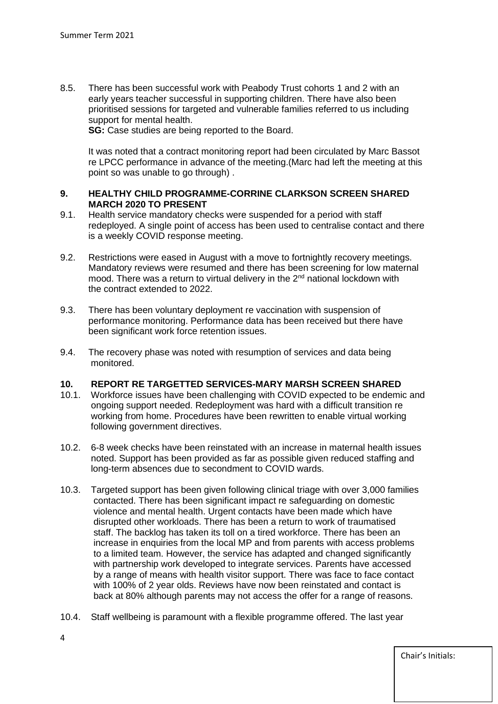8.5. There has been successful work with Peabody Trust cohorts 1 and 2 with an early years teacher successful in supporting children. There have also been prioritised sessions for targeted and vulnerable families referred to us including support for mental health.

**SG:** Case studies are being reported to the Board.

 It was noted that a contract monitoring report had been circulated by Marc Bassot re LPCC performance in advance of the meeting.(Marc had left the meeting at this point so was unable to go through) .

# **9. HEALTHY CHILD PROGRAMME-CORRINE CLARKSON SCREEN SHARED MARCH 2020 TO PRESENT**<br>9.1. Health service mandatory che

- Health service mandatory checks were suspended for a period with staff redeployed. A single point of access has been used to centralise contact and there is a weekly COVID response meeting.
- 9.2. Restrictions were eased in August with a move to fortnightly recovery meetings. Mandatory reviews were resumed and there has been screening for low maternal mood. There was a return to virtual delivery in the  $2<sup>nd</sup>$  national lockdown with the contract extended to 2022.
- 9.3. There has been voluntary deployment re vaccination with suspension of performance monitoring. Performance data has been received but there have been significant work force retention issues.
- 9.4. The recovery phase was noted with resumption of services and data being monitored.

#### **10. REPORT RE TARGETTED SERVICES-MARY MARSH SCREEN SHARED**

- 10.1. Workforce issues have been challenging with COVID expected to be endemic and ongoing support needed. Redeployment was hard with a difficult transition re working from home. Procedures have been rewritten to enable virtual working following government directives.
- 10.2. 6-8 week checks have been reinstated with an increase in maternal health issues noted. Support has been provided as far as possible given reduced staffing and long-term absences due to secondment to COVID wards.
- 10.3. Targeted support has been given following clinical triage with over 3,000 families contacted. There has been significant impact re safeguarding on domestic violence and mental health. Urgent contacts have been made which have disrupted other workloads. There has been a return to work of traumatised staff. The backlog has taken its toll on a tired workforce. There has been an increase in enquiries from the local MP and from parents with access problems to a limited team. However, the service has adapted and changed significantly with partnership work developed to integrate services. Parents have accessed by a range of means with health visitor support. There was face to face contact with 100% of 2 year olds. Reviews have now been reinstated and contact is back at 80% although parents may not access the offer for a range of reasons.
- 10.4. Staff wellbeing is paramount with a flexible programme offered. The last year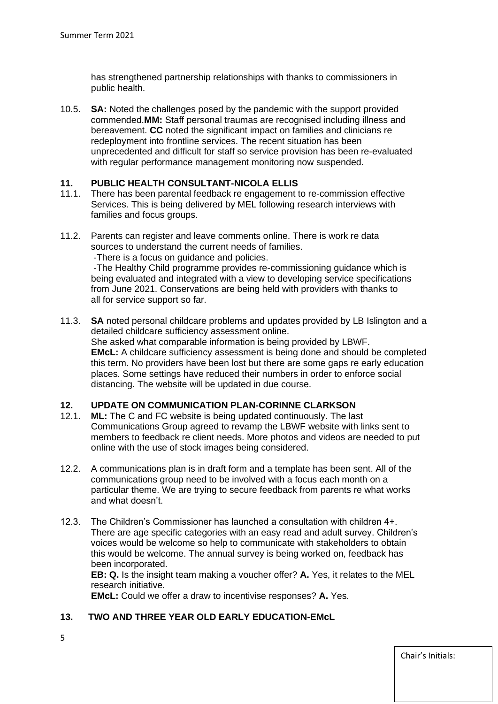has strengthened partnership relationships with thanks to commissioners in public health.

10.5. **SA:** Noted the challenges posed by the pandemic with the support provided commended.**MM:** Staff personal traumas are recognised including illness and bereavement. **CC** noted the significant impact on families and clinicians re redeployment into frontline services. The recent situation has been unprecedented and difficult for staff so service provision has been re-evaluated with regular performance management monitoring now suspended.

## **11. PUBLIC HEALTH CONSULTANT-NICOLA ELLIS**

- 11.1. There has been parental feedback re engagement to re-commission effective Services. This is being delivered by MEL following research interviews with families and focus groups.
- 11.2. Parents can register and leave comments online. There is work re data sources to understand the current needs of families. -There is a focus on guidance and policies. -The Healthy Child programme provides re-commissioning guidance which is being evaluated and integrated with a view to developing service specifications from June 2021. Conservations are being held with providers with thanks to all for service support so far.
- 11.3. **SA** noted personal childcare problems and updates provided by LB Islington and a detailed childcare sufficiency assessment online. She asked what comparable information is being provided by LBWF. **EMcL:** A childcare sufficiency assessment is being done and should be completed this term. No providers have been lost but there are some gaps re early education places. Some settings have reduced their numbers in order to enforce social distancing. The website will be updated in due course.

#### **12. UPDATE ON COMMUNICATION PLAN-CORINNE CLARKSON**

- 12.1. **ML:** The C and FC website is being updated continuously. The last Communications Group agreed to revamp the LBWF website with links sent to members to feedback re client needs. More photos and videos are needed to put online with the use of stock images being considered.
- 12.2. A communications plan is in draft form and a template has been sent. All of the communications group need to be involved with a focus each month on a particular theme. We are trying to secure feedback from parents re what works and what doesn't.
- 12.3. The Children's Commissioner has launched a consultation with children 4+. There are age specific categories with an easy read and adult survey. Children's voices would be welcome so help to communicate with stakeholders to obtain this would be welcome. The annual survey is being worked on, feedback has been incorporated.

 **EB: Q.** Is the insight team making a voucher offer? **A.** Yes, it relates to the MEL research initiative.

**EMcL:** Could we offer a draw to incentivise responses? **A.** Yes.

#### **13. TWO AND THREE YEAR OLD EARLY EDUCATION-EMcL**

5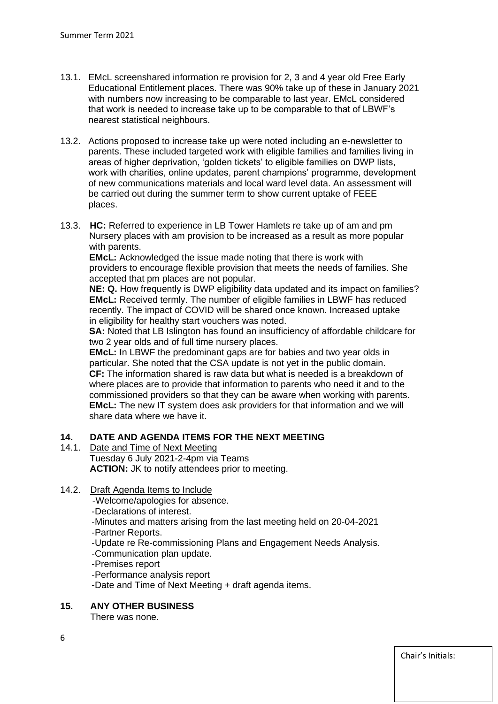- 13.1. EMcL screenshared information re provision for 2, 3 and 4 year old Free Early Educational Entitlement places. There was 90% take up of these in January 2021 with numbers now increasing to be comparable to last year. EMcL considered that work is needed to increase take up to be comparable to that of LBWF's nearest statistical neighbours.
- 13.2. Actions proposed to increase take up were noted including an e-newsletter to parents. These included targeted work with eligible families and families living in areas of higher deprivation, 'golden tickets' to eligible families on DWP lists, work with charities, online updates, parent champions' programme, development of new communications materials and local ward level data. An assessment will be carried out during the summer term to show current uptake of FEEE places.
- 13.3. **HC:** Referred to experience in LB Tower Hamlets re take up of am and pm Nursery places with am provision to be increased as a result as more popular with parents.

 **EMcL:** Acknowledged the issue made noting that there is work with providers to encourage flexible provision that meets the needs of families. She accepted that pm places are not popular.

 **NE: Q.** How frequently is DWP eligibility data updated and its impact on families? **EMcL:** Received termly. The number of eligible families in LBWF has reduced recently. The impact of COVID will be shared once known. Increased uptake in eligibility for healthy start vouchers was noted.

 **SA:** Noted that LB Islington has found an insufficiency of affordable childcare for two 2 year olds and of full time nursery places.

 **EMcL: I**n LBWF the predominant gaps are for babies and two year olds in particular. She noted that the CSA update is not yet in the public domain. **CF:** The information shared is raw data but what is needed is a breakdown of where places are to provide that information to parents who need it and to the commissioned providers so that they can be aware when working with parents. **EMcL:** The new IT system does ask providers for that information and we will share data where we have it.

# **14. DATE AND AGENDA ITEMS FOR THE NEXT MEETING**

14.1. Date and Time of Next Meeting Tuesday 6 July 2021-2-4pm via Teams **ACTION:** JK to notify attendees prior to meeting.

# 14.2. Draft Agenda Items to Include

- -Welcome/apologies for absence.
- -Declarations of interest.
- -Minutes and matters arising from the last meeting held on 20-04-2021
- -Partner Reports.
- -Update re Re-commissioning Plans and Engagement Needs Analysis.
- -Communication plan update.
- -Premises report
- -Performance analysis report
- -Date and Time of Next Meeting + draft agenda items.
- **15. ANY OTHER BUSINESS**

There was none.